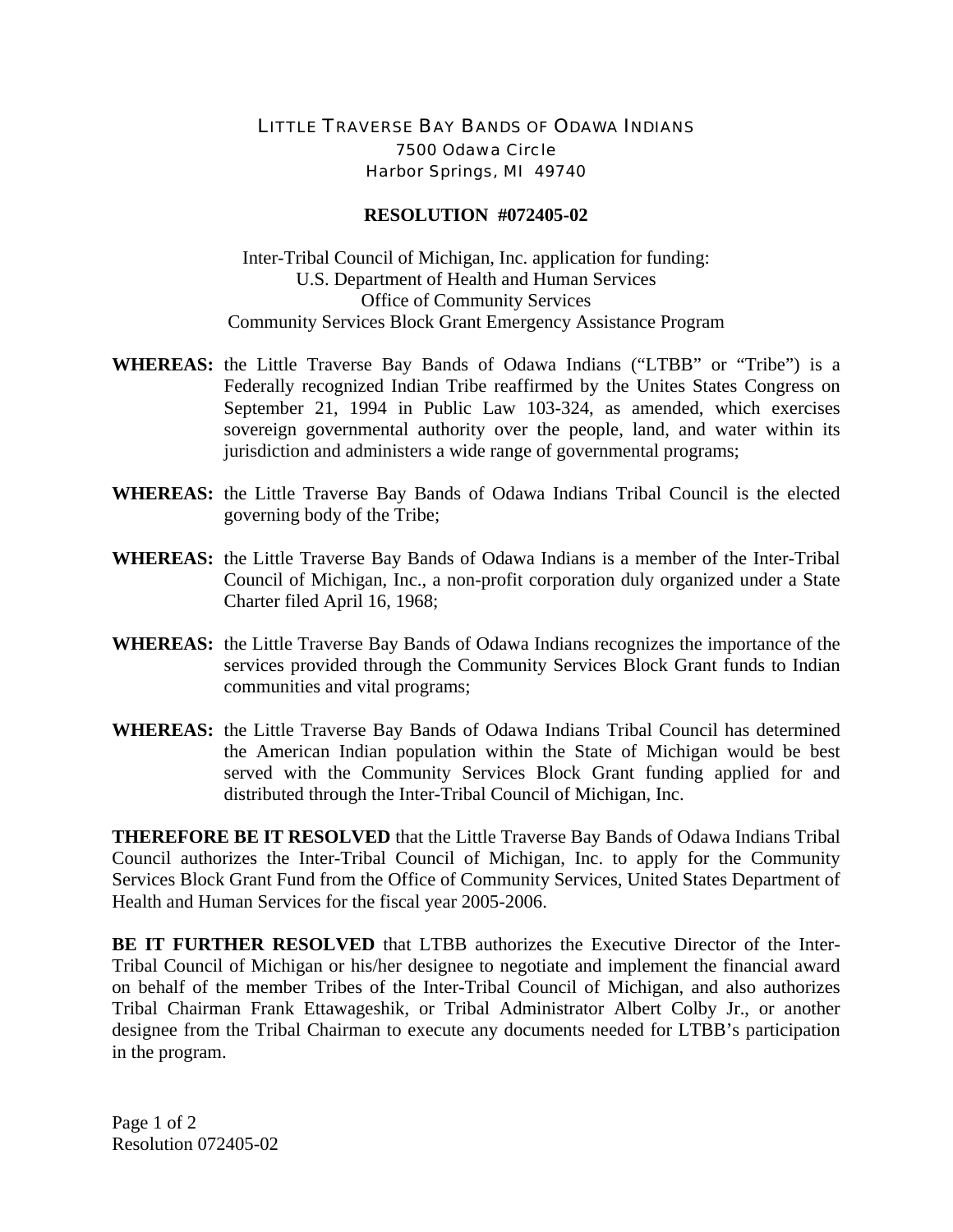## LITTLE TRAVERSE BAY BANDS OF ODAWA INDIANS 7500 Odawa Circle Harbor Springs, MI 49740

## **RESOLUTION #072405-02**

Inter-Tribal Council of Michigan, Inc. application for funding: U.S. Department of Health and Human Services Office of Community Services Community Services Block Grant Emergency Assistance Program

- **WHEREAS:** the Little Traverse Bay Bands of Odawa Indians ("LTBB" or "Tribe") is a Federally recognized Indian Tribe reaffirmed by the Unites States Congress on September 21, 1994 in Public Law 103-324, as amended, which exercises sovereign governmental authority over the people, land, and water within its jurisdiction and administers a wide range of governmental programs;
- **WHEREAS:** the Little Traverse Bay Bands of Odawa Indians Tribal Council is the elected governing body of the Tribe;
- **WHEREAS:** the Little Traverse Bay Bands of Odawa Indians is a member of the Inter-Tribal Council of Michigan, Inc., a non-profit corporation duly organized under a State Charter filed April 16, 1968;
- **WHEREAS:** the Little Traverse Bay Bands of Odawa Indians recognizes the importance of the services provided through the Community Services Block Grant funds to Indian communities and vital programs;
- **WHEREAS:** the Little Traverse Bay Bands of Odawa Indians Tribal Council has determined the American Indian population within the State of Michigan would be best served with the Community Services Block Grant funding applied for and distributed through the Inter-Tribal Council of Michigan, Inc.

**THEREFORE BE IT RESOLVED** that the Little Traverse Bay Bands of Odawa Indians Tribal Council authorizes the Inter-Tribal Council of Michigan, Inc. to apply for the Community Services Block Grant Fund from the Office of Community Services, United States Department of Health and Human Services for the fiscal year 2005-2006.

**BE IT FURTHER RESOLVED** that LTBB authorizes the Executive Director of the Inter-Tribal Council of Michigan or his/her designee to negotiate and implement the financial award on behalf of the member Tribes of the Inter-Tribal Council of Michigan, and also authorizes Tribal Chairman Frank Ettawageshik, or Tribal Administrator Albert Colby Jr., or another designee from the Tribal Chairman to execute any documents needed for LTBB's participation in the program.

Page 1 of 2 Resolution 072405-02